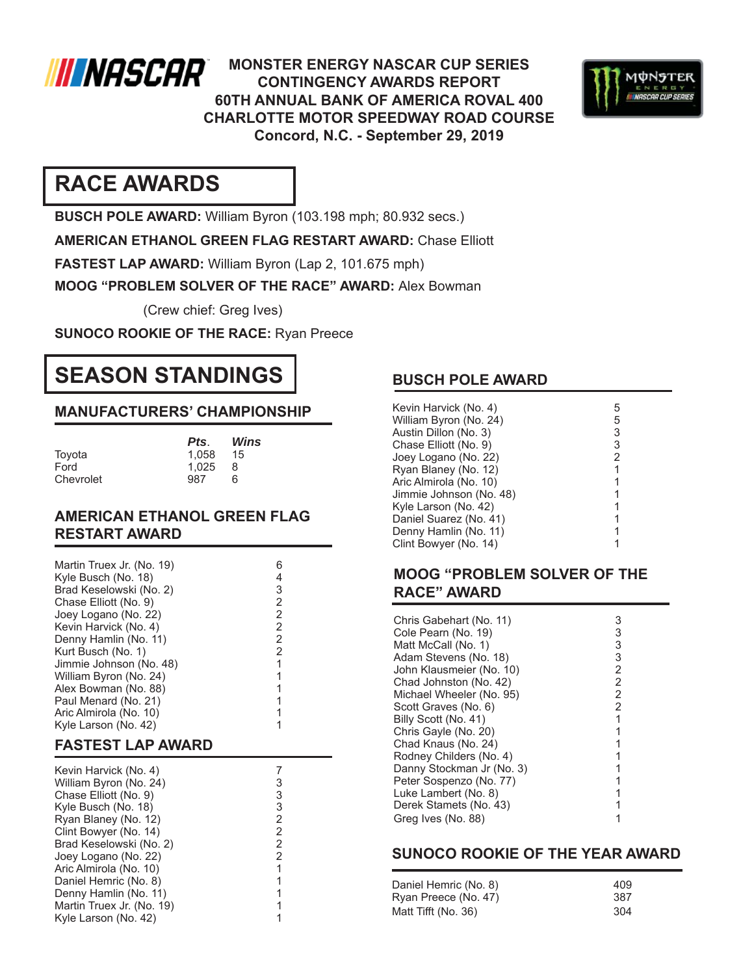

**MONSTER ENERGY NASCAR CUP SERIES CONTINGENCY AWARDS REPORT 60TH ANNUAL BANK OF AMERICA ROVAL 400 CHARLOTTE MOTOR SPEEDWAY ROAD COURSE Concord, N.C. - September 29, 2019**



# **RACE AWARDS**

**BUSCH POLE AWARD:** William Byron (103.198 mph; 80.932 secs.)

**AMERICAN ETHANOL GREEN FLAG RESTART AWARD:** Chase Elliott

**FASTEST LAP AWARD:** William Byron (Lap 2, 101.675 mph)

**MOOG "PROBLEM SOLVER OF THE RACE" AWARD:** Alex Bowman

(Crew chief: Greg Ives)

**SUNOCO ROOKIE OF THE RACE:** Ryan Preece

# **SEASON STANDINGS**

## **MANUFACTURERS' CHAMPIONSHIP**

| Pts.  | Wins |
|-------|------|
| 1.058 | 15   |
| 1.025 | 8    |
| 987   | ิค   |
|       |      |

### **AMERICAN ETHANOL GREEN FLAG RESTART AWARD**

| Martin Truex Jr. (No. 19)<br>Kyle Busch (No. 18)<br>Brad Keselowski (No. 2)<br>Chase Elliott (No. 9)<br>Joey Logano (No. 22)<br>Kevin Harvick (No. 4)<br>Denny Hamlin (No. 11)<br>Kurt Busch (No. 1)<br>Jimmie Johnson (No. 48)<br>William Byron (No. 24)<br>Alex Bowman (No. 88)<br>Paul Menard (No. 21)<br>Aric Almirola (No. 10)<br>Kyle Larson (No. 42)<br><b>FASTEST LAP AWARD</b> | 6<br>4<br>32222<br>$\overline{1}$<br>$\mathbf{1}$<br>$\mathbf{1}$<br>$\overline{1}$<br>1<br>1 |
|-----------------------------------------------------------------------------------------------------------------------------------------------------------------------------------------------------------------------------------------------------------------------------------------------------------------------------------------------------------------------------------------|-----------------------------------------------------------------------------------------------|
|                                                                                                                                                                                                                                                                                                                                                                                         |                                                                                               |
| Kevin Harvick (No. 4)<br>William Byron (No. 24)                                                                                                                                                                                                                                                                                                                                         | 7                                                                                             |
| Chase Elliott (No. 9)                                                                                                                                                                                                                                                                                                                                                                   |                                                                                               |
| Kyle Busch (No. 18)                                                                                                                                                                                                                                                                                                                                                                     |                                                                                               |
|                                                                                                                                                                                                                                                                                                                                                                                         |                                                                                               |
|                                                                                                                                                                                                                                                                                                                                                                                         |                                                                                               |
| Ryan Blaney (No. 12)                                                                                                                                                                                                                                                                                                                                                                    |                                                                                               |
| Clint Bowyer (No. 14)<br>Brad Keselowski (No. 2)                                                                                                                                                                                                                                                                                                                                        |                                                                                               |
| Joey Logano (No. 22)                                                                                                                                                                                                                                                                                                                                                                    |                                                                                               |
| Aric Almirola (No. 10)                                                                                                                                                                                                                                                                                                                                                                  | 3332221                                                                                       |
| Daniel Hemric (No. 8)                                                                                                                                                                                                                                                                                                                                                                   | $\overline{1}$                                                                                |
| Denny Hamlin (No. 11)                                                                                                                                                                                                                                                                                                                                                                   | $\mathbf{1}$                                                                                  |
| Martin Truex Jr. (No. 19)<br>Kyle Larson (No. 42)                                                                                                                                                                                                                                                                                                                                       | 1<br>1                                                                                        |

## **BUSCH POLE AWARD**

| Kevin Harvick (No. 4)<br>William Byron (No. 24) | 5<br>5 |
|-------------------------------------------------|--------|
| Austin Dillon (No. 3)                           | 3      |
| Chase Elliott (No. 9)                           | 3      |
| Joey Logano (No. 22)                            | 2      |
| Ryan Blaney (No. 12)                            |        |
| Aric Almirola (No. 10)                          |        |
| Jimmie Johnson (No. 48)                         |        |
| Kyle Larson (No. 42)                            |        |
| Daniel Suarez (No. 41)                          |        |
| Denny Hamlin (No. 11)                           |        |
| Clint Bowyer (No. 14)                           |        |

### **MOOG "PROBLEM SOLVER OF THE RACE" AWARD**

| Chris Gabehart (No. 11)   | 3              |
|---------------------------|----------------|
| Cole Pearn (No. 19)       | 3              |
|                           | 3              |
| Matt McCall (No. 1)       |                |
| Adam Stevens (No. 18)     | 3              |
| John Klausmeier (No. 10)  | 2              |
| Chad Johnston (No. 42)    | $\overline{2}$ |
| Michael Wheeler (No. 95)  | $\overline{2}$ |
| Scott Graves (No. 6)      | 2              |
| Billy Scott (No. 41)      |                |
| Chris Gayle (No. 20)      |                |
| Chad Knaus (No. 24)       |                |
| Rodney Childers (No. 4)   |                |
| Danny Stockman Jr (No. 3) |                |
| Peter Sospenzo (No. 77)   |                |
| Luke Lambert (No. 8)      |                |
| Derek Stamets (No. 43)    |                |
| Greg Ives (No. 88)        |                |

### **SUNOCO ROOKIE OF THE YEAR AWARD**

| Daniel Hemric (No. 8) | 409 |
|-----------------------|-----|
| Ryan Preece (No. 47)  | 387 |
| Matt Tifft (No. 36)   | 304 |